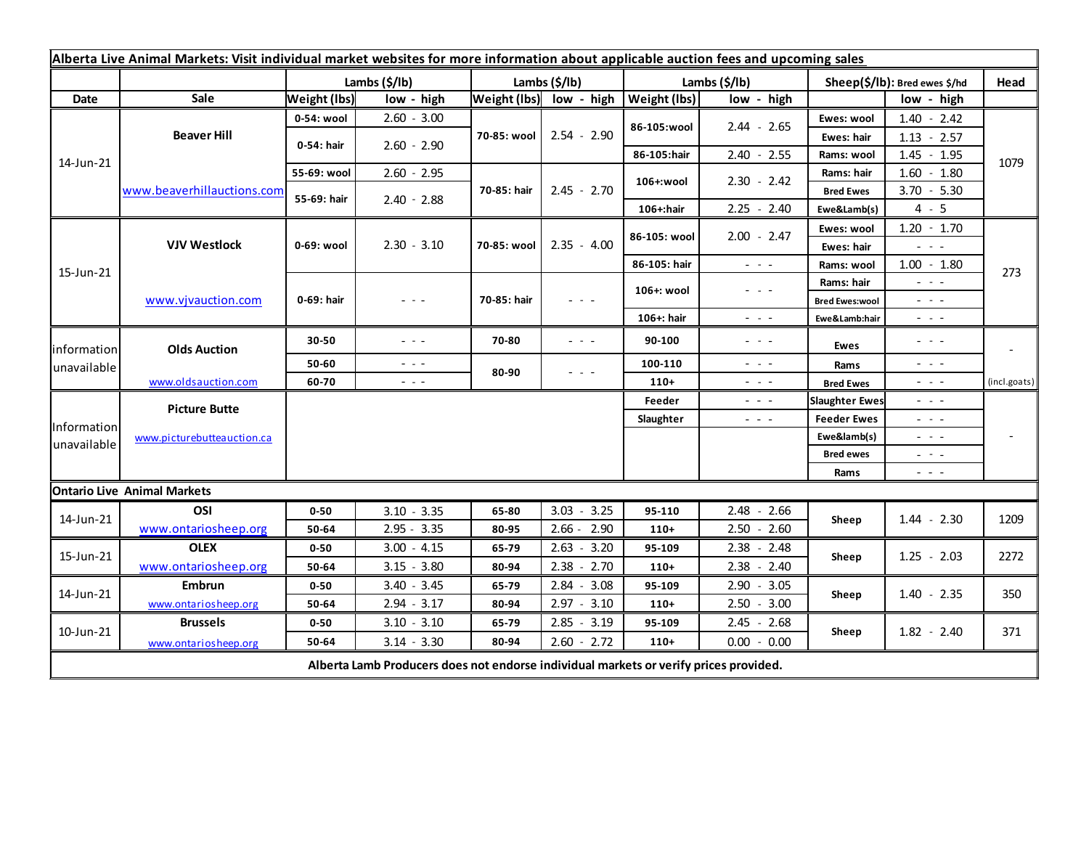| Alberta Live Animal Markets: Visit individual market websites for more information about applicable auction fees and upcoming sales |                                    |                     |                                                                                             |               |                         |               |                                                                                                                           |                               |                                                                                                                                                                                                              |              |
|-------------------------------------------------------------------------------------------------------------------------------------|------------------------------------|---------------------|---------------------------------------------------------------------------------------------|---------------|-------------------------|---------------|---------------------------------------------------------------------------------------------------------------------------|-------------------------------|--------------------------------------------------------------------------------------------------------------------------------------------------------------------------------------------------------------|--------------|
|                                                                                                                                     |                                    | Lambs (\$/lb)       |                                                                                             | Lambs (\$/lb) |                         | Lambs (\$/lb) |                                                                                                                           | Sheep(\$/lb): Bred ewes \$/hd |                                                                                                                                                                                                              | Head         |
| Date                                                                                                                                | Sale                               | <b>Weight (lbs)</b> | low - high                                                                                  |               | Weight (lbs) low - high | Weight (lbs)  | low - high                                                                                                                |                               | low - high                                                                                                                                                                                                   |              |
| 14-Jun-21                                                                                                                           | <b>Beaver Hill</b>                 | 0-54: wool          | $2.60 - 3.00$                                                                               | 70-85: wool   | $2.54 - 2.90$           | 86-105:wool   | $2.44 - 2.65$                                                                                                             | Ewes: wool                    | $1.40 - 2.42$                                                                                                                                                                                                | 1079         |
|                                                                                                                                     |                                    | 0-54: hair          | $2.60 - 2.90$                                                                               |               |                         |               |                                                                                                                           | <b>Ewes: hair</b>             | $1.13 - 2.57$                                                                                                                                                                                                |              |
|                                                                                                                                     |                                    |                     |                                                                                             |               |                         | 86-105:hair   | $2.40 - 2.55$                                                                                                             | Rams: wool                    | $1.45 - 1.95$                                                                                                                                                                                                |              |
|                                                                                                                                     | www.beaverhillauctions.com         | 55-69: wool         | $2.60 - 2.95$                                                                               | 70-85: hair   | $2.45 - 2.70$           | 106+:wool     | $2.30 - 2.42$                                                                                                             | Rams: hair                    | $1.60 - 1.80$                                                                                                                                                                                                |              |
|                                                                                                                                     |                                    | 55-69: hair         | $2.40 - 2.88$                                                                               |               |                         |               |                                                                                                                           | <b>Bred Ewes</b>              | $3.70 - 5.30$                                                                                                                                                                                                |              |
|                                                                                                                                     |                                    |                     |                                                                                             |               |                         | 106+:hair     | $2.25 - 2.40$                                                                                                             | Ewe&Lamb(s)                   | $4 - 5$                                                                                                                                                                                                      |              |
| 15-Jun-21                                                                                                                           | <b>VJV Westlock</b>                | 0-69: wool          | $2.30 - 3.10$                                                                               | 70-85: wool   | $2.35 - 4.00$           | 86-105: wool  | $2.00 - 2.47$                                                                                                             | Ewes: wool                    | $1.20 - 1.70$                                                                                                                                                                                                |              |
|                                                                                                                                     |                                    |                     |                                                                                             |               |                         |               |                                                                                                                           | <b>Ewes: hair</b>             | $  -$                                                                                                                                                                                                        |              |
|                                                                                                                                     |                                    |                     |                                                                                             |               |                         | 86-105: hair  | $\frac{1}{2} \left( \frac{1}{2} \right) \left( \frac{1}{2} \right) \left( \frac{1}{2} \right) \left( \frac{1}{2} \right)$ | Rams: wool                    | $1.00 - 1.80$                                                                                                                                                                                                | 273          |
|                                                                                                                                     | www.vjvauction.com                 | 0-69: hair          | - - -                                                                                       | 70-85: hair   | - - -                   | 106+: wool    | $\frac{1}{2} \left( \frac{1}{2} \right) \left( \frac{1}{2} \right) \left( \frac{1}{2} \right) \left( \frac{1}{2} \right)$ | Rams: hair                    | $  -$                                                                                                                                                                                                        |              |
|                                                                                                                                     |                                    |                     |                                                                                             |               |                         |               |                                                                                                                           | <b>Bred Ewes:wool</b>         | $\frac{1}{2} \left( \frac{1}{2} \right) \left( \frac{1}{2} \right) \left( \frac{1}{2} \right)$                                                                                                               |              |
|                                                                                                                                     |                                    |                     |                                                                                             |               |                         | 106+: hair    | $\frac{1}{2} \left( \frac{1}{2} \right) \left( \frac{1}{2} \right) \left( \frac{1}{2} \right) \left( \frac{1}{2} \right)$ | Ewe&Lamb:hair                 | $\frac{1}{2} \left( \frac{1}{2} \right) \frac{1}{2} \left( \frac{1}{2} \right) \frac{1}{2} \left( \frac{1}{2} \right)$                                                                                       |              |
| information<br>unavailable                                                                                                          | <b>Olds Auction</b>                | 30-50               | - - -                                                                                       | 70-80         | $ -$                    | 90-100        | $\frac{1}{2} \left( \frac{1}{2} \right) \frac{1}{2} \left( \frac{1}{2} \right) \frac{1}{2} \left( \frac{1}{2} \right)$    | Ewes                          | $\frac{1}{2} \left( \frac{1}{2} \right) = \frac{1}{2} \left( \frac{1}{2} \right)$                                                                                                                            |              |
|                                                                                                                                     |                                    | 50-60               | $\frac{1}{2} \left( \frac{1}{2} \right) \frac{1}{2} \left( \frac{1}{2} \right) \frac{1}{2}$ | 80-90         | - - -                   | 100-110       | $\frac{1}{2} \left( \frac{1}{2} \right) \left( \frac{1}{2} \right) \left( \frac{1}{2} \right)$                            | Rams                          | $\frac{1}{2} \left( \frac{1}{2} \right) \left( \frac{1}{2} \right) \left( \frac{1}{2} \right)$                                                                                                               |              |
|                                                                                                                                     | www.oldsauction.com                | 60-70               | $\sim$ $\sim$ $\sim$                                                                        |               |                         | $110+$        | $\frac{1}{2} \left( \frac{1}{2} \right) \left( \frac{1}{2} \right) \left( \frac{1}{2} \right)$                            | <b>Bred Ewes</b>              | $\frac{1}{2} \left( \frac{1}{2} \right) \left( \frac{1}{2} \right) \left( \frac{1}{2} \right)$                                                                                                               | (incl.goats) |
| Information<br>unavailable                                                                                                          | <b>Picture Butte</b>               |                     |                                                                                             |               |                         | Feeder        | $  -$                                                                                                                     | <b>Slaughter Ewes</b>         | - - -                                                                                                                                                                                                        |              |
|                                                                                                                                     | www.picturebutteauction.ca         |                     |                                                                                             |               |                         | Slaughter     | $  -$                                                                                                                     | <b>Feeder Ewes</b>            | - - -                                                                                                                                                                                                        |              |
|                                                                                                                                     |                                    |                     |                                                                                             |               |                         |               |                                                                                                                           | Ewe&lamb(s)                   | $  -$                                                                                                                                                                                                        |              |
|                                                                                                                                     |                                    |                     |                                                                                             |               |                         |               |                                                                                                                           | <b>Bred ewes</b>              | $\frac{1}{2} \left( \frac{1}{2} \right) \frac{1}{2} \left( \frac{1}{2} \right) \frac{1}{2} \left( \frac{1}{2} \right)$                                                                                       |              |
|                                                                                                                                     |                                    |                     |                                                                                             |               |                         |               |                                                                                                                           | Rams                          | $\frac{1}{2} \left( \begin{array}{ccc} 1 & 0 & 0 \\ 0 & 0 & 0 \\ 0 & 0 & 0 \end{array} \right) = \frac{1}{2} \left( \begin{array}{ccc} 1 & 0 & 0 \\ 0 & 0 & 0 \\ 0 & 0 & 0 \\ 0 & 0 & 0 \end{array} \right)$ |              |
|                                                                                                                                     | <b>Ontario Live Animal Markets</b> |                     |                                                                                             |               |                         |               |                                                                                                                           |                               |                                                                                                                                                                                                              |              |
| 14-Jun-21                                                                                                                           | OSI                                | $0 - 50$            | $3.10 - 3.35$                                                                               | 65-80         | $3.03 - 3.25$           | 95-110        | $2.48 - 2.66$                                                                                                             | Sheep                         | $1.44 - 2.30$                                                                                                                                                                                                | 1209         |
|                                                                                                                                     | www.ontariosheep.org               | 50-64               | $2.95 - 3.35$                                                                               | 80-95         | $2.66 - 2.90$           | $110+$        | $2.50 - 2.60$                                                                                                             |                               |                                                                                                                                                                                                              |              |
| 15-Jun-21                                                                                                                           | <b>OLEX</b>                        | $0 - 50$            | $3.00 - 4.15$                                                                               | 65-79         | $2.63 - 3.20$           | 95-109        | $2.38 - 2.48$                                                                                                             | Sheep                         | $1.25 - 2.03$                                                                                                                                                                                                | 2272         |
|                                                                                                                                     | www.ontariosheep.org               | 50-64               | $3.15 - 3.80$                                                                               | 80-94         | $2.38 - 2.70$           | $110+$        | $2.38 - 2.40$                                                                                                             |                               |                                                                                                                                                                                                              |              |
| 14-Jun-21                                                                                                                           | Embrun                             | $0 - 50$            | $3.40 - 3.45$                                                                               | 65-79         | $2.84 - 3.08$           | 95-109        | $2.90 - 3.05$                                                                                                             | Sheep                         | $1.40 - 2.35$                                                                                                                                                                                                | 350          |
|                                                                                                                                     | www.ontariosheep.org               | 50-64               | $2.94 - 3.17$                                                                               | 80-94         | $2.97 - 3.10$           | $110+$        | $2.50 - 3.00$                                                                                                             |                               |                                                                                                                                                                                                              |              |
| 10-Jun-21                                                                                                                           | <b>Brussels</b>                    | $0 - 50$            | $3.10 - 3.10$                                                                               | 65-79         | $2.85 - 3.19$           | 95-109        | $2.45 - 2.68$                                                                                                             | Sheep                         | $1.82 - 2.40$                                                                                                                                                                                                | 371          |
|                                                                                                                                     | www.ontariosheep.org               | 50-64               | $3.14 - 3.30$                                                                               | 80-94         | $2.60 - 2.72$           | $110+$        | $0.00 - 0.00$                                                                                                             |                               |                                                                                                                                                                                                              |              |
| Alberta Lamb Producers does not endorse individual markets or verify prices provided.                                               |                                    |                     |                                                                                             |               |                         |               |                                                                                                                           |                               |                                                                                                                                                                                                              |              |